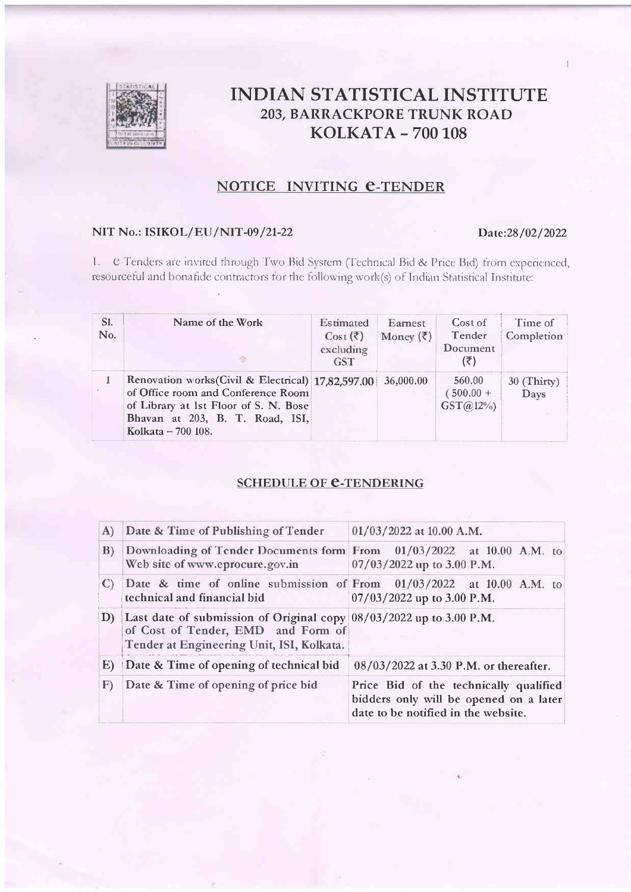

# **INDIAN STATISTICAL INSTITUTE 203, BARRACKPORE TRUNK ROAD KOLKATA - 700 108**

## NOTICE INVITING C-TENDER

## NIT No.: ISIKOL/EU/NIT-09/21-22

#### Date:28/02/2022

1. e-Tenders are invited through Two Bid System (Technical Bid & Price Bid) from experienced, resourceful and bonafide contractors for the following work(s) of Indian Statistical Institute:

| S1.<br>No. | Name of the Work<br>$\mathcal{L}_2$                                                                                                                                                        | Estimated<br>Cost $(\bar{\zeta})$<br>excluding<br><b>GST</b> | Earnest<br>Money $(\bar{\zeta})$ | Cost of<br>Tender<br>Document<br>(₹) | Time of<br>Completion |
|------------|--------------------------------------------------------------------------------------------------------------------------------------------------------------------------------------------|--------------------------------------------------------------|----------------------------------|--------------------------------------|-----------------------|
| is.        | Renovation works (Civil & Electrical) 17,82,597,00<br>of Office room and Conference Room<br>of Library at 1st Floor of S. N. Bose<br>Bhavan at 203, B. T. Road, ISI,<br>Kolkata – 700 108. |                                                              | 36,000.00                        | 560.00<br>$(500.00 +$<br>$GST@12\%$  | $30$ (Thirty)<br>Days |

## **SCHEDULE OF C-TENDERING**

| A)           | Date & Time of Publishing of Tender                                                                                                                      | $01/03/2022$ at 10.00 A.M.                                                                                              |
|--------------|----------------------------------------------------------------------------------------------------------------------------------------------------------|-------------------------------------------------------------------------------------------------------------------------|
| B)           | Downloading of Tender Documents form From 01/03/2022 at 10.00 A.M. to<br>Web site of www.eprocure.gov.in                                                 | 07/03/2022 up to 3.00 P.M.                                                                                              |
| C)           | Date & time of online submission of From $01/03/2022$ at 10.00 A.M. to<br>technical and financial bid                                                    | $07/03/2022$ up to 3.00 P.M.                                                                                            |
| $\mathbf{D}$ | Last date of submission of Original copy $08/03/2022$ up to 3.00 P.M.<br>of Cost of Tender, EMD and Form of<br>Tender at Engineering Unit, ISI, Kolkata. |                                                                                                                         |
| E)           | Date & Time of opening of technical bid                                                                                                                  | 08/03/2022 at 3.30 P.M. or thereafter.                                                                                  |
| $\mathbf{F}$ | Date & Time of opening of price bid                                                                                                                      | Price Bid of the technically qualified<br>bidders only will be opened on a later<br>date to be notified in the website. |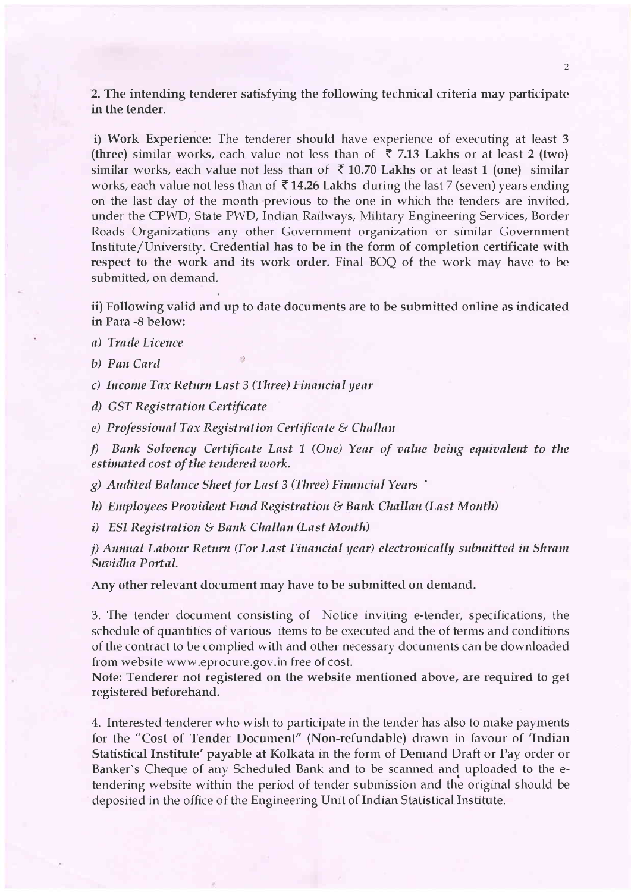2. The intending tenderer satisfying the following technical criteria may participate in the tender.

i) Work Experience: The tenderer should have experience of executing at least 3 (three) similar works, each value not less than of  $\bar{\tau}$  7.13 Lakhs or at least 2 (two) similar works, each value not less than of  $\bar{x}$  10.70 Lakhs or at least 1 (one) similar works, each value not less than of  $\bar{\tau}$  14.26 Lakhs during the last 7 (seven) years ending on the last day of the month previous to the one in which the tenders are invited, under the CPWD, State PWD, Indian Railways, Military Engineering Services, Border Roads Organizations any other Government organization or similar Government Institute/University. Credential has to be in the form of completion certificate with respect to the work and its work order. Final BOO of the work may have to be submitted, on demand.

ii) Following valid and up to date documents are to be submitted online as indicated in Para -8 below:

a) Trade Licence

b) Pan Card

c) Income Tax Return Last 3 (Three) Financial year

d) GST Registration Certificate

e) Professional Tax Registration Certificate & Challan

f) Bank Solvency Certificate Last 1 (One) Year of value being equivalent to the estimated cost of the tendered work.

g) Audited Balance Sheet for Last 3 (Three) Financial Years '

h) Employees Provident Fund Registration & Bank Challan (Last Month)

i) ESI Registration & Bank Challan (Last Month)

j) Annual Labour Return (For Last Financial year) electronically submitted in Shram Suvidha Portal.

Any other relevant document may have to be submitted on demand.

3. The tender document consisting of Notice inviting e-tender, specifications, the schedule of quantities of various items to be executed and the of terms and conditions of the contract to be complied with and other necessary documents can be downloaded from website www.eprocure.gov.in free of cost.

Note: Tenderer not registered on the website mentioned above, are required to get registered beforehand.

4. Interested tenderer who wish to participate in the tender has also to make payments for the "Cost of Tender Document" (Non-refundable) drawn in favour of 'Indian Statistical Institute' payable at Kolkata in the form of Demand Draft or Pay order or Banker's Cheque of any Scheduled Bank and to be scanned and uploaded to the etendering website within the period of tender submission and the original should be deposited in the office of the Engineering Unit of Indian Statistical Institute.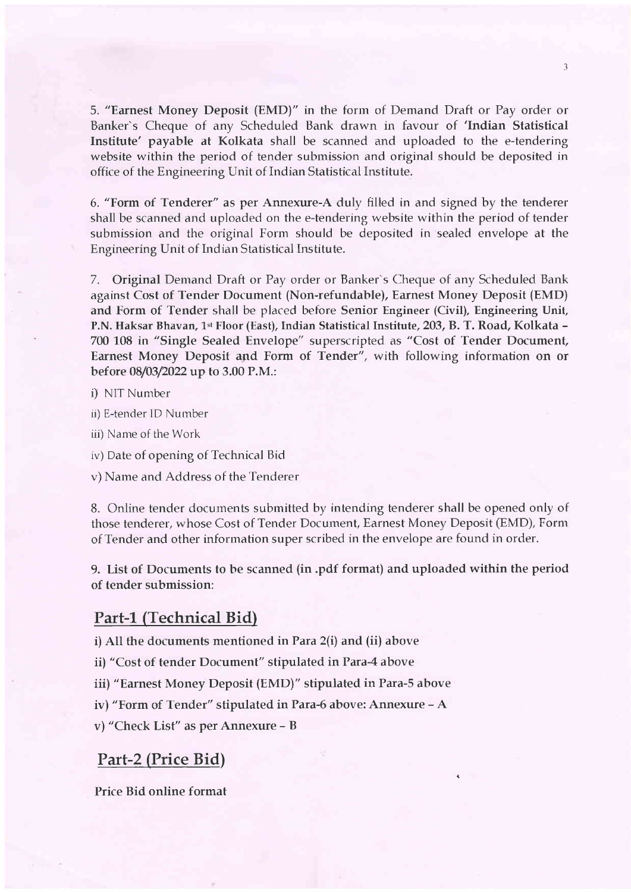5. "Earnest Money Deposit (EMD)" in the form of Demand Draft or Pay orcler or Banker's Cheque of any Scheduled Bank drawn in favour of 'Indian Statistical Institute' payable at Kolkata shall be scanned and uploaded to the e-tendering website within the period of tender submission and original should be deposited in office of the Engineering Unit of Indian Statistical Institute.

3

6. "Form of Tenderer" as per Annexure-A duly filled in and signed by the tenderer shall be scanned and uploaded on the e-tendering website within the period of tender submission and the original Form should be deposited in sealed envelope at the Engineering Unit of Indian Statistical Institute.

7. Original Demand Draft or Pay order or Banker's Cheque of any Scheduled Bank against Cost of Tender Document (Non-refundable), Earnest Money Deposit (EMD) and Form of Tender shall be placed before Senior Engineer (Civil), Engineering Unit, P.N. Haksar Bhavan, 1st Floor (East), Indian Statistical Institute, 203, B. T. Road, Kolkata -700 108 in "Single Sealed Envelope" superscripted as "Cost of Tender Document, Earnest Money Deposit and Form of Tender", with following information on or before 08/03/2022 up to 3.00 P.M.:

i) NIT Number

ii) E-tender lD Nurnber

iii) Name of the Work

iv) Date of opening of Technical Bicl

v) Narne and Address of the Tenderer

8. Online tender documents submitted by intending tenderer shall be opened only of those tenderer, whose Cost oF Tender Document, Earnest Money Deposit (EMD), Form of Tender and other information super scribed in the envelope are found in order.

9. List of Documents to be scanned (in.pdf format) and uploaded within the period of tender submission:

### Part-1 (Technical Bid)

i)All the documents mentioned in Para 2(i) and (ii) above

ii) "Cost of tender Document" stipulated in Para-4 above

iii) "Earnest Money Deposit (EMD)" stipulated in Para-5 above

iv) "Form of Tender" stipulated in Para-6 above: Annexure - A

v) "Check List" as per Annexure - <sup>B</sup>

# Part-2 (Price Bid)

Price Bid online format